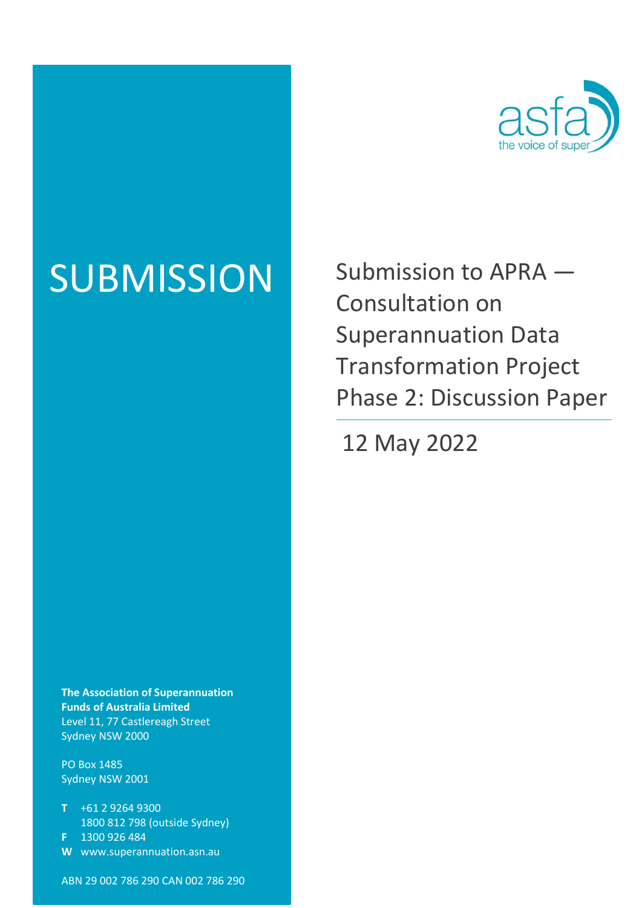

SUBMISSION Submission to APRA — Consultation on Superannuation Data Transformation Project Phase 2: Discussion Paper

12 May 2022

**The Association of Superannuation Funds of Australia Limited** Level 11, 77 Castlereagh Street Sydney NSW 2000

PO Box 1485 Sydney NSW 2001

- **T** +61 2 9264 9300 1800 812 798 (outside Sydney)
- **F** 1300 926 484
- **W** www.superannuation.asn.au

ABN 29 002 786 290 CAN 002 786 290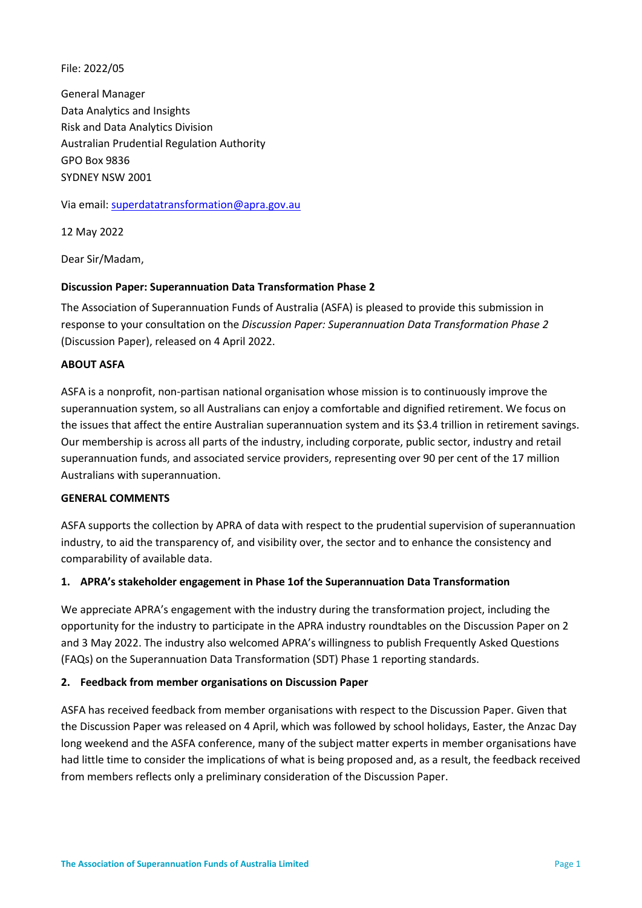File: 2022/05

General Manager Data Analytics and Insights Risk and Data Analytics Division Australian Prudential Regulation Authority GPO Box 9836 SYDNEY NSW 2001

Via email: [superdatatransformation@apra.gov.au](mailto:superdatatransformation@apra.gov.au)

12 May 2022

Dear Sir/Madam,

# **Discussion Paper: Superannuation Data Transformation Phase 2**

The Association of Superannuation Funds of Australia (ASFA) is pleased to provide this submission in response to your consultation on the *Discussion Paper: Superannuation Data Transformation Phase 2* (Discussion Paper), released on 4 April 2022.

## **ABOUT ASFA**

ASFA is a nonprofit, non-partisan national organisation whose mission is to continuously improve the superannuation system, so all Australians can enjoy a comfortable and dignified retirement. We focus on the issues that affect the entire Australian superannuation system and its \$3.4 trillion in retirement savings. Our membership is across all parts of the industry, including corporate, public sector, industry and retail superannuation funds, and associated service providers, representing over 90 per cent of the 17 million Australians with superannuation.

#### **GENERAL COMMENTS**

ASFA supports the collection by APRA of data with respect to the prudential supervision of superannuation industry, to aid the transparency of, and visibility over, the sector and to enhance the consistency and comparability of available data.

# **1. APRA's stakeholder engagement in Phase 1of the Superannuation Data Transformation**

We appreciate APRA's engagement with the industry during the transformation project, including the opportunity for the industry to participate in the APRA industry roundtables on the Discussion Paper on 2 and 3 May 2022. The industry also welcomed APRA's willingness to publish Frequently Asked Questions (FAQs) on the Superannuation Data Transformation (SDT) Phase 1 reporting standards.

# **2. Feedback from member organisations on Discussion Paper**

ASFA has received feedback from member organisations with respect to the Discussion Paper. Given that the Discussion Paper was released on 4 April, which was followed by school holidays, Easter, the Anzac Day long weekend and the ASFA conference, many of the subject matter experts in member organisations have had little time to consider the implications of what is being proposed and, as a result, the feedback received from members reflects only a preliminary consideration of the Discussion Paper.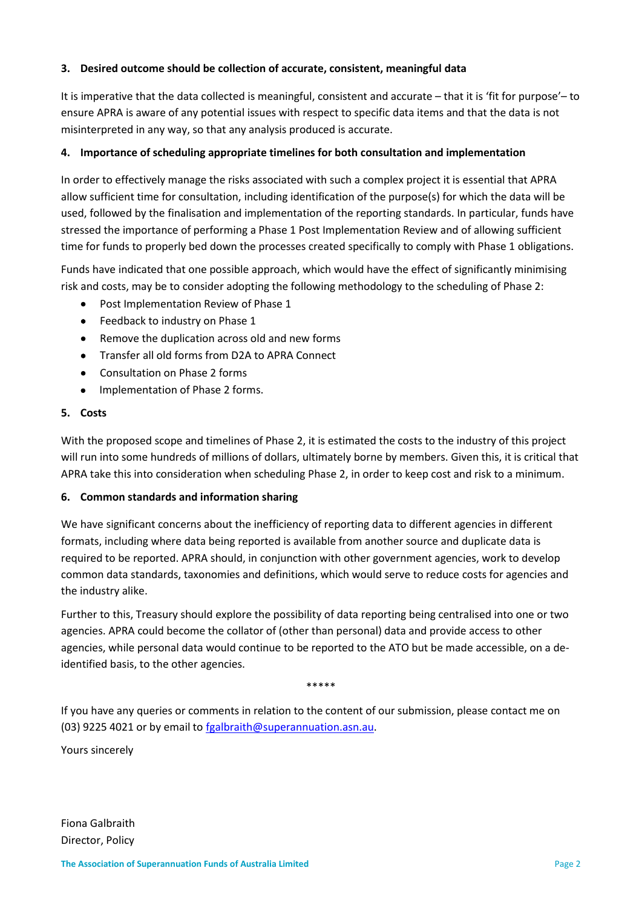# **3. Desired outcome should be collection of accurate, consistent, meaningful data**

It is imperative that the data collected is meaningful, consistent and accurate – that it is 'fit for purpose'– to ensure APRA is aware of any potential issues with respect to specific data items and that the data is not misinterpreted in any way, so that any analysis produced is accurate.

# **4. Importance of scheduling appropriate timelines for both consultation and implementation**

In order to effectively manage the risks associated with such a complex project it is essential that APRA allow sufficient time for consultation, including identification of the purpose(s) for which the data will be used, followed by the finalisation and implementation of the reporting standards. In particular, funds have stressed the importance of performing a Phase 1 Post Implementation Review and of allowing sufficient time for funds to properly bed down the processes created specifically to comply with Phase 1 obligations.

Funds have indicated that one possible approach, which would have the effect of significantly minimising risk and costs, may be to consider adopting the following methodology to the scheduling of Phase 2:

- Post Implementation Review of Phase 1
- Feedback to industry on Phase 1
- Remove the duplication across old and new forms
- Transfer all old forms from D2A to APRA Connect
- Consultation on Phase 2 forms
- Implementation of Phase 2 forms.

# **5. Costs**

With the proposed scope and timelines of Phase 2, it is estimated the costs to the industry of this project will run into some hundreds of millions of dollars, ultimately borne by members. Given this, it is critical that APRA take this into consideration when scheduling Phase 2, in order to keep cost and risk to a minimum.

# **6. Common standards and information sharing**

We have significant concerns about the inefficiency of reporting data to different agencies in different formats, including where data being reported is available from another source and duplicate data is required to be reported. APRA should, in conjunction with other government agencies, work to develop common data standards, taxonomies and definitions, which would serve to reduce costs for agencies and the industry alike.

Further to this, Treasury should explore the possibility of data reporting being centralised into one or two agencies. APRA could become the collator of (other than personal) data and provide access to other agencies, while personal data would continue to be reported to the ATO but be made accessible, on a deidentified basis, to the other agencies.

\*\*\*\*\*

If you have any queries or comments in relation to the content of our submission, please contact me on (03) 9225 4021 or by email to [fgalbraith@superannuation.asn.au.](mailto:fgalbraith@superannuation.asn.au)

Yours sincerely

Fiona Galbraith Director, Policy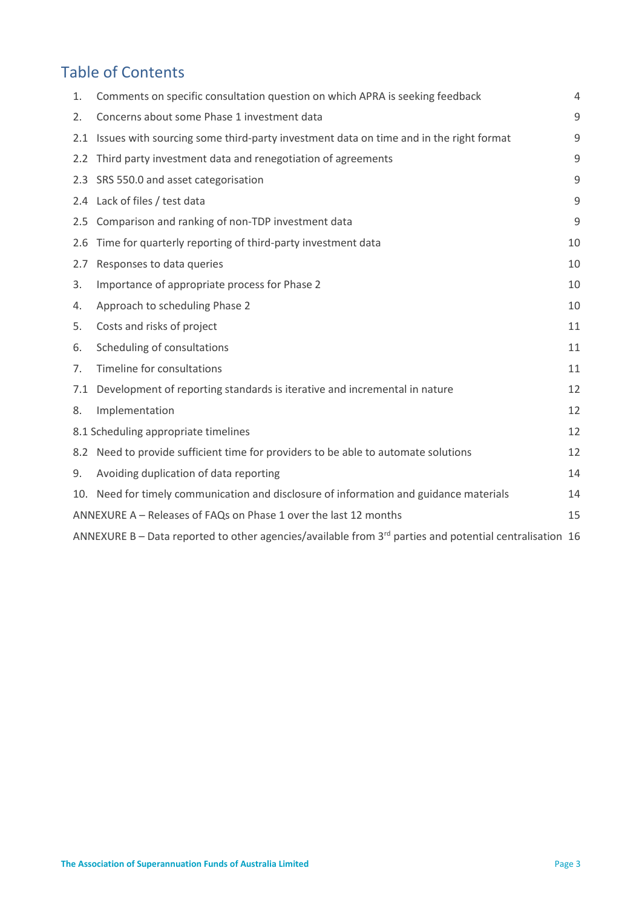# Table of Contents

| 1.            | Comments on specific consultation question on which APRA is seeking feedback                                 | 4  |
|---------------|--------------------------------------------------------------------------------------------------------------|----|
| 2.            | Concerns about some Phase 1 investment data                                                                  | 9  |
| 2.1           | Issues with sourcing some third-party investment data on time and in the right format                        | 9  |
| $2.2^{\circ}$ | Third party investment data and renegotiation of agreements                                                  | 9  |
|               | 2.3 SRS 550.0 and asset categorisation                                                                       | 9  |
|               | 2.4 Lack of files / test data                                                                                | 9  |
|               | 2.5 Comparison and ranking of non-TDP investment data                                                        | 9  |
| 2.6           | Time for quarterly reporting of third-party investment data                                                  | 10 |
| 2.7           | Responses to data queries                                                                                    | 10 |
| 3.            | Importance of appropriate process for Phase 2                                                                | 10 |
| 4.            | Approach to scheduling Phase 2                                                                               | 10 |
| 5.            | Costs and risks of project                                                                                   | 11 |
| 6.            | Scheduling of consultations                                                                                  | 11 |
| 7.            | Timeline for consultations                                                                                   | 11 |
| 7.1           | Development of reporting standards is iterative and incremental in nature                                    | 12 |
| 8.            | Implementation                                                                                               | 12 |
|               | 8.1 Scheduling appropriate timelines                                                                         | 12 |
|               | 8.2 Need to provide sufficient time for providers to be able to automate solutions                           | 12 |
| 9.            | Avoiding duplication of data reporting                                                                       | 14 |
|               | 10. Need for timely communication and disclosure of information and guidance materials                       | 14 |
|               | ANNEXURE A - Releases of FAQs on Phase 1 over the last 12 months                                             | 15 |
|               | ANNEXURE B – Data reported to other agencies/available from $3^{rd}$ parties and potential centralisation 16 |    |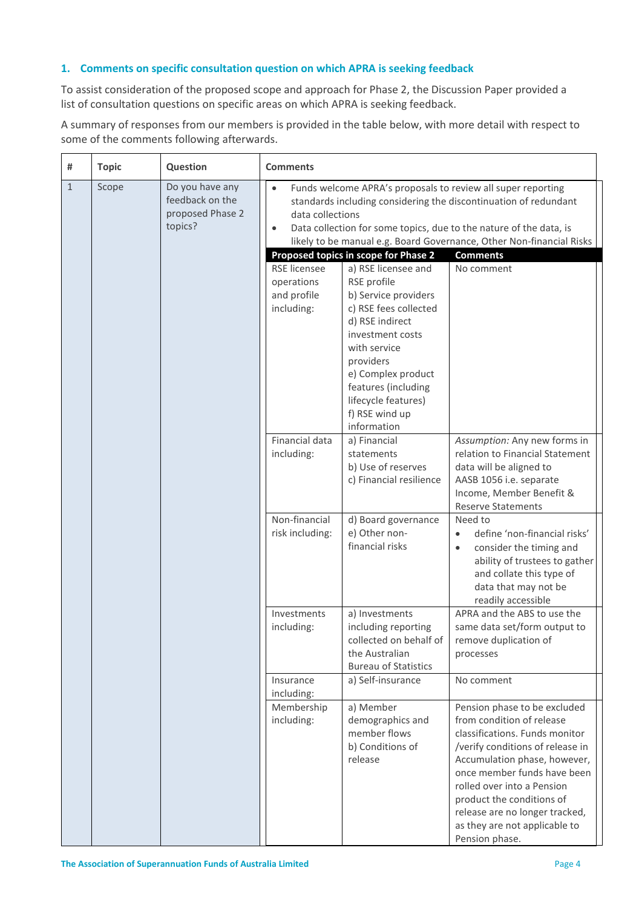# <span id="page-4-0"></span>**1. Comments on specific consultation question on which APRA is seeking feedback**

To assist consideration of the proposed scope and approach for Phase 2, the Discussion Paper provided a list of consultation questions on specific areas on which APRA is seeking feedback.

A summary of responses from our members is provided in the table below, with more detail with respect to some of the comments following afterwards.

| #            | <b>Topic</b> | Question                                                          | <b>Comments</b>                                                                                                                                                                                                                                                                                                              |                                                                                                                                                                                                                                                              |                                                                                                                                                                                                                                                                                                                                                |
|--------------|--------------|-------------------------------------------------------------------|------------------------------------------------------------------------------------------------------------------------------------------------------------------------------------------------------------------------------------------------------------------------------------------------------------------------------|--------------------------------------------------------------------------------------------------------------------------------------------------------------------------------------------------------------------------------------------------------------|------------------------------------------------------------------------------------------------------------------------------------------------------------------------------------------------------------------------------------------------------------------------------------------------------------------------------------------------|
| $\mathbf{1}$ | Scope        | Do you have any<br>feedback on the<br>proposed Phase 2<br>topics? | Funds welcome APRA's proposals to review all super reporting<br>$\bullet$<br>standards including considering the discontinuation of redundant<br>data collections<br>Data collection for some topics, due to the nature of the data, is<br>$\bullet$<br>likely to be manual e.g. Board Governance, Other Non-financial Risks |                                                                                                                                                                                                                                                              |                                                                                                                                                                                                                                                                                                                                                |
|              |              |                                                                   |                                                                                                                                                                                                                                                                                                                              | Proposed topics in scope for Phase 2                                                                                                                                                                                                                         | <b>Comments</b>                                                                                                                                                                                                                                                                                                                                |
|              |              |                                                                   | <b>RSE</b> licensee<br>operations<br>and profile<br>including:                                                                                                                                                                                                                                                               | a) RSE licensee and<br>RSE profile<br>b) Service providers<br>c) RSE fees collected<br>d) RSE indirect<br>investment costs<br>with service<br>providers<br>e) Complex product<br>features (including<br>lifecycle features)<br>f) RSE wind up<br>information | No comment                                                                                                                                                                                                                                                                                                                                     |
|              |              |                                                                   | Financial data<br>including:                                                                                                                                                                                                                                                                                                 | a) Financial<br>statements<br>b) Use of reserves<br>c) Financial resilience                                                                                                                                                                                  | Assumption: Any new forms in<br>relation to Financial Statement<br>data will be aligned to<br>AASB 1056 i.e. separate<br>Income, Member Benefit &<br><b>Reserve Statements</b>                                                                                                                                                                 |
|              |              |                                                                   | Non-financial<br>risk including:                                                                                                                                                                                                                                                                                             | d) Board governance<br>e) Other non-<br>financial risks                                                                                                                                                                                                      | Need to<br>define 'non-financial risks'<br>consider the timing and<br>$\bullet$<br>ability of trustees to gather<br>and collate this type of<br>data that may not be<br>readily accessible                                                                                                                                                     |
|              |              |                                                                   | Investments<br>including:                                                                                                                                                                                                                                                                                                    | a) Investments<br>including reporting<br>collected on behalf of<br>the Australian<br><b>Bureau of Statistics</b>                                                                                                                                             | APRA and the ABS to use the<br>same data set/form output to<br>remove duplication of<br>processes                                                                                                                                                                                                                                              |
|              |              |                                                                   | Insurance<br>including:                                                                                                                                                                                                                                                                                                      | a) Self-insurance                                                                                                                                                                                                                                            | No comment                                                                                                                                                                                                                                                                                                                                     |
|              |              |                                                                   | Membership<br>including:                                                                                                                                                                                                                                                                                                     | a) Member<br>demographics and<br>member flows<br>b) Conditions of<br>release                                                                                                                                                                                 | Pension phase to be excluded<br>from condition of release<br>classifications. Funds monitor<br>/verify conditions of release in<br>Accumulation phase, however,<br>once member funds have been<br>rolled over into a Pension<br>product the conditions of<br>release are no longer tracked,<br>as they are not applicable to<br>Pension phase. |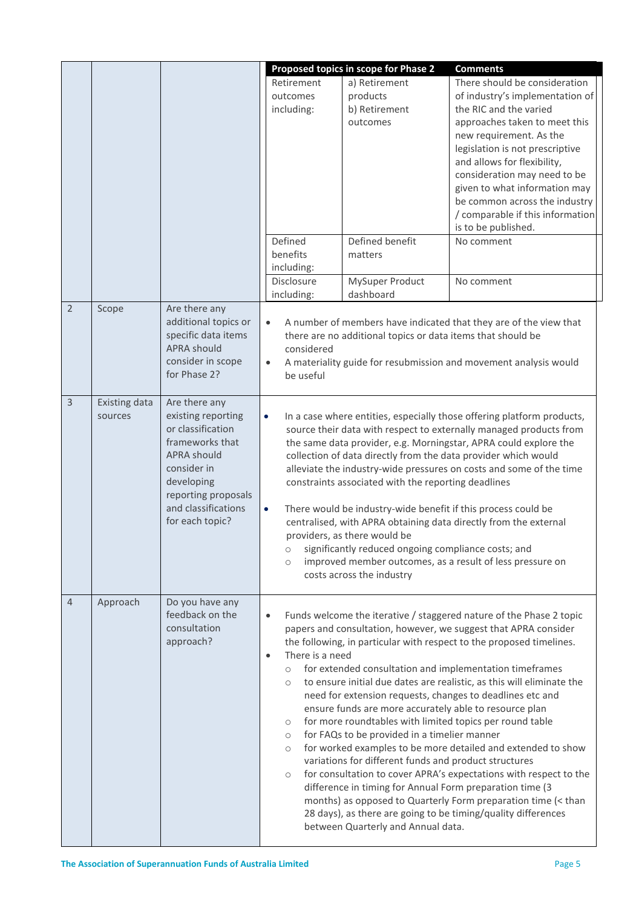|                |                                 |                                                                                                                                                                                                 |                                                                                                             | Proposed topics in scope for Phase 2                                                                                                                                                                                                                              | <b>Comments</b>                                                                                                                                                                                                                                                                                                                                                                                                                                                                                                                                                                                                                                                                                                                                    |
|----------------|---------------------------------|-------------------------------------------------------------------------------------------------------------------------------------------------------------------------------------------------|-------------------------------------------------------------------------------------------------------------|-------------------------------------------------------------------------------------------------------------------------------------------------------------------------------------------------------------------------------------------------------------------|----------------------------------------------------------------------------------------------------------------------------------------------------------------------------------------------------------------------------------------------------------------------------------------------------------------------------------------------------------------------------------------------------------------------------------------------------------------------------------------------------------------------------------------------------------------------------------------------------------------------------------------------------------------------------------------------------------------------------------------------------|
|                |                                 |                                                                                                                                                                                                 | Retirement<br>outcomes<br>including:<br>Defined                                                             | a) Retirement<br>products<br>b) Retirement<br>outcomes<br>Defined benefit                                                                                                                                                                                         | There should be consideration<br>of industry's implementation of<br>the RIC and the varied<br>approaches taken to meet this<br>new requirement. As the<br>legislation is not prescriptive<br>and allows for flexibility,<br>consideration may need to be<br>given to what information may<br>be common across the industry<br>/ comparable if this information<br>is to be published.<br>No comment                                                                                                                                                                                                                                                                                                                                                |
|                |                                 |                                                                                                                                                                                                 | benefits<br>including:<br>Disclosure                                                                        | matters<br>MySuper Product                                                                                                                                                                                                                                        | No comment                                                                                                                                                                                                                                                                                                                                                                                                                                                                                                                                                                                                                                                                                                                                         |
|                |                                 |                                                                                                                                                                                                 | including:                                                                                                  | dashboard                                                                                                                                                                                                                                                         |                                                                                                                                                                                                                                                                                                                                                                                                                                                                                                                                                                                                                                                                                                                                                    |
| $\overline{2}$ | Scope                           | Are there any<br>additional topics or<br>specific data items<br><b>APRA should</b><br>consider in scope<br>for Phase 2?                                                                         | $\bullet$<br>considered<br>$\bullet$<br>be useful                                                           | there are no additional topics or data items that should be                                                                                                                                                                                                       | A number of members have indicated that they are of the view that<br>A materiality guide for resubmission and movement analysis would                                                                                                                                                                                                                                                                                                                                                                                                                                                                                                                                                                                                              |
| $\overline{3}$ | <b>Existing data</b><br>sources | Are there any<br>existing reporting<br>or classification<br>frameworks that<br><b>APRA should</b><br>consider in<br>developing<br>reporting proposals<br>and classifications<br>for each topic? | $\bullet$<br>$\bullet$<br>$\circ$<br>$\circ$                                                                | constraints associated with the reporting deadlines<br>providers, as there would be<br>significantly reduced ongoing compliance costs; and<br>costs across the industry                                                                                           | In a case where entities, especially those offering platform products,<br>source their data with respect to externally managed products from<br>the same data provider, e.g. Morningstar, APRA could explore the<br>collection of data directly from the data provider which would<br>alleviate the industry-wide pressures on costs and some of the time<br>There would be industry-wide benefit if this process could be<br>centralised, with APRA obtaining data directly from the external<br>improved member outcomes, as a result of less pressure on                                                                                                                                                                                        |
| $\overline{4}$ | Approach                        | Do you have any<br>feedback on the<br>consultation<br>approach?                                                                                                                                 | $\bullet$<br>There is a need<br>$\bullet$<br>$\circ$<br>$\circ$<br>$\circ$<br>$\circ$<br>$\circ$<br>$\circ$ | ensure funds are more accurately able to resource plan<br>for FAQs to be provided in a timelier manner<br>variations for different funds and product structures<br>difference in timing for Annual Form preparation time (3<br>between Quarterly and Annual data. | Funds welcome the iterative / staggered nature of the Phase 2 topic<br>papers and consultation, however, we suggest that APRA consider<br>the following, in particular with respect to the proposed timelines.<br>for extended consultation and implementation timeframes<br>to ensure initial due dates are realistic, as this will eliminate the<br>need for extension requests, changes to deadlines etc and<br>for more roundtables with limited topics per round table<br>for worked examples to be more detailed and extended to show<br>for consultation to cover APRA's expectations with respect to the<br>months) as opposed to Quarterly Form preparation time (< than<br>28 days), as there are going to be timing/quality differences |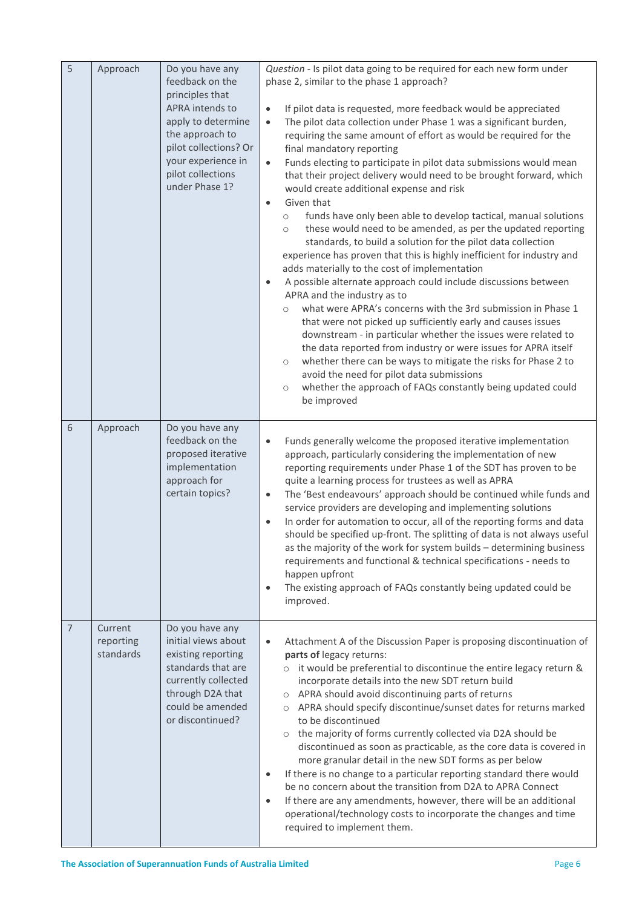| 5              | Approach                          | Do you have any<br>feedback on the<br>principles that<br>APRA intends to<br>apply to determine<br>the approach to<br>pilot collections? Or<br>your experience in<br>pilot collections<br>under Phase 1? | Question - Is pilot data going to be required for each new form under<br>phase 2, similar to the phase 1 approach?<br>If pilot data is requested, more feedback would be appreciated<br>$\bullet$<br>The pilot data collection under Phase 1 was a significant burden,<br>$\bullet$<br>requiring the same amount of effort as would be required for the<br>final mandatory reporting<br>Funds electing to participate in pilot data submissions would mean<br>$\bullet$<br>that their project delivery would need to be brought forward, which<br>would create additional expense and risk<br>Given that<br>$\bullet$<br>funds have only been able to develop tactical, manual solutions<br>$\circ$<br>these would need to be amended, as per the updated reporting<br>$\circ$<br>standards, to build a solution for the pilot data collection<br>experience has proven that this is highly inefficient for industry and<br>adds materially to the cost of implementation<br>A possible alternate approach could include discussions between<br>$\bullet$<br>APRA and the industry as to<br>what were APRA's concerns with the 3rd submission in Phase 1<br>$\circ$<br>that were not picked up sufficiently early and causes issues<br>downstream - in particular whether the issues were related to<br>the data reported from industry or were issues for APRA itself<br>whether there can be ways to mitigate the risks for Phase 2 to<br>$\circ$<br>avoid the need for pilot data submissions<br>whether the approach of FAQs constantly being updated could<br>$\circ$<br>be improved |
|----------------|-----------------------------------|---------------------------------------------------------------------------------------------------------------------------------------------------------------------------------------------------------|-------------------------------------------------------------------------------------------------------------------------------------------------------------------------------------------------------------------------------------------------------------------------------------------------------------------------------------------------------------------------------------------------------------------------------------------------------------------------------------------------------------------------------------------------------------------------------------------------------------------------------------------------------------------------------------------------------------------------------------------------------------------------------------------------------------------------------------------------------------------------------------------------------------------------------------------------------------------------------------------------------------------------------------------------------------------------------------------------------------------------------------------------------------------------------------------------------------------------------------------------------------------------------------------------------------------------------------------------------------------------------------------------------------------------------------------------------------------------------------------------------------------------------------------------------------------------------------------|
| 6              | Approach                          | Do you have any<br>feedback on the<br>proposed iterative<br>implementation<br>approach for<br>certain topics?                                                                                           | Funds generally welcome the proposed iterative implementation<br>$\bullet$<br>approach, particularly considering the implementation of new<br>reporting requirements under Phase 1 of the SDT has proven to be<br>quite a learning process for trustees as well as APRA<br>The 'Best endeavours' approach should be continued while funds and<br>$\bullet$<br>service providers are developing and implementing solutions<br>In order for automation to occur, all of the reporting forms and data<br>$\bullet$<br>should be specified up-front. The splitting of data is not always useful<br>as the majority of the work for system builds - determining business<br>requirements and functional & technical specifications - needs to<br>happen upfront<br>The existing approach of FAQs constantly being updated could be<br>$\bullet$<br>improved.                                                                                                                                                                                                                                                                                                                                                                                                                                                                                                                                                                                                                                                                                                                                   |
| $\overline{7}$ | Current<br>reporting<br>standards | Do you have any<br>initial views about<br>existing reporting<br>standards that are<br>currently collected<br>through D2A that<br>could be amended<br>or discontinued?                                   | Attachment A of the Discussion Paper is proposing discontinuation of<br>$\bullet$<br>parts of legacy returns:<br>o it would be preferential to discontinue the entire legacy return &<br>incorporate details into the new SDT return build<br>APRA should avoid discontinuing parts of returns<br>$\circ$<br>o APRA should specify discontinue/sunset dates for returns marked<br>to be discontinued<br>o the majority of forms currently collected via D2A should be<br>discontinued as soon as practicable, as the core data is covered in<br>more granular detail in the new SDT forms as per below<br>If there is no change to a particular reporting standard there would<br>$\bullet$<br>be no concern about the transition from D2A to APRA Connect<br>If there are any amendments, however, there will be an additional<br>$\bullet$<br>operational/technology costs to incorporate the changes and time<br>required to implement them.                                                                                                                                                                                                                                                                                                                                                                                                                                                                                                                                                                                                                                           |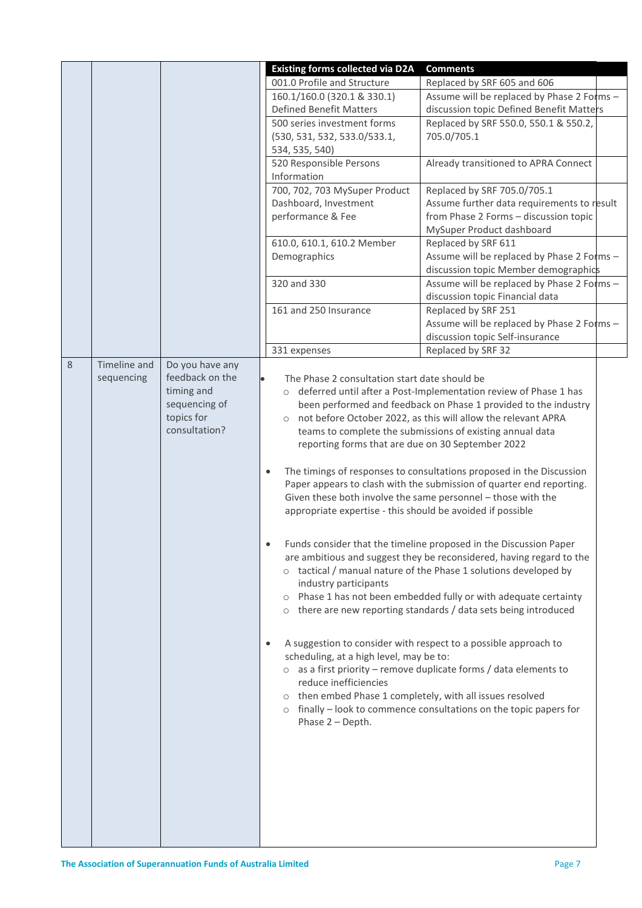|   |              |                                                                               | <b>Existing forms collected via D2A</b>                                                                                                                                                                                                                                                                                                                                                                                          | <b>Comments</b>                                                                                                                                                                                                                                                                                                                                                                                                                                                                                                                                                                                                                                                                                                                                                                                                                                                                                                                                                                                                                                                  |
|---|--------------|-------------------------------------------------------------------------------|----------------------------------------------------------------------------------------------------------------------------------------------------------------------------------------------------------------------------------------------------------------------------------------------------------------------------------------------------------------------------------------------------------------------------------|------------------------------------------------------------------------------------------------------------------------------------------------------------------------------------------------------------------------------------------------------------------------------------------------------------------------------------------------------------------------------------------------------------------------------------------------------------------------------------------------------------------------------------------------------------------------------------------------------------------------------------------------------------------------------------------------------------------------------------------------------------------------------------------------------------------------------------------------------------------------------------------------------------------------------------------------------------------------------------------------------------------------------------------------------------------|
|   |              |                                                                               | 001.0 Profile and Structure                                                                                                                                                                                                                                                                                                                                                                                                      | Replaced by SRF 605 and 606                                                                                                                                                                                                                                                                                                                                                                                                                                                                                                                                                                                                                                                                                                                                                                                                                                                                                                                                                                                                                                      |
|   |              |                                                                               | 160.1/160.0 (320.1 & 330.1)                                                                                                                                                                                                                                                                                                                                                                                                      | Assume will be replaced by Phase 2 Forms -                                                                                                                                                                                                                                                                                                                                                                                                                                                                                                                                                                                                                                                                                                                                                                                                                                                                                                                                                                                                                       |
|   |              |                                                                               | <b>Defined Benefit Matters</b>                                                                                                                                                                                                                                                                                                                                                                                                   | discussion topic Defined Benefit Matters                                                                                                                                                                                                                                                                                                                                                                                                                                                                                                                                                                                                                                                                                                                                                                                                                                                                                                                                                                                                                         |
|   |              |                                                                               | 500 series investment forms                                                                                                                                                                                                                                                                                                                                                                                                      | Replaced by SRF 550.0, 550.1 & 550.2,                                                                                                                                                                                                                                                                                                                                                                                                                                                                                                                                                                                                                                                                                                                                                                                                                                                                                                                                                                                                                            |
|   |              |                                                                               | (530, 531, 532, 533.0/533.1,<br>534, 535, 540)                                                                                                                                                                                                                                                                                                                                                                                   | 705.0/705.1                                                                                                                                                                                                                                                                                                                                                                                                                                                                                                                                                                                                                                                                                                                                                                                                                                                                                                                                                                                                                                                      |
|   |              |                                                                               | 520 Responsible Persons<br>Information                                                                                                                                                                                                                                                                                                                                                                                           | Already transitioned to APRA Connect                                                                                                                                                                                                                                                                                                                                                                                                                                                                                                                                                                                                                                                                                                                                                                                                                                                                                                                                                                                                                             |
|   |              |                                                                               | 700, 702, 703 MySuper Product                                                                                                                                                                                                                                                                                                                                                                                                    | Replaced by SRF 705.0/705.1                                                                                                                                                                                                                                                                                                                                                                                                                                                                                                                                                                                                                                                                                                                                                                                                                                                                                                                                                                                                                                      |
|   |              |                                                                               | Dashboard, Investment                                                                                                                                                                                                                                                                                                                                                                                                            | Assume further data requirements to result                                                                                                                                                                                                                                                                                                                                                                                                                                                                                                                                                                                                                                                                                                                                                                                                                                                                                                                                                                                                                       |
|   |              |                                                                               | performance & Fee                                                                                                                                                                                                                                                                                                                                                                                                                | from Phase 2 Forms - discussion topic                                                                                                                                                                                                                                                                                                                                                                                                                                                                                                                                                                                                                                                                                                                                                                                                                                                                                                                                                                                                                            |
|   |              |                                                                               |                                                                                                                                                                                                                                                                                                                                                                                                                                  | MySuper Product dashboard                                                                                                                                                                                                                                                                                                                                                                                                                                                                                                                                                                                                                                                                                                                                                                                                                                                                                                                                                                                                                                        |
|   |              |                                                                               | 610.0, 610.1, 610.2 Member                                                                                                                                                                                                                                                                                                                                                                                                       | Replaced by SRF 611                                                                                                                                                                                                                                                                                                                                                                                                                                                                                                                                                                                                                                                                                                                                                                                                                                                                                                                                                                                                                                              |
|   |              |                                                                               | Demographics                                                                                                                                                                                                                                                                                                                                                                                                                     | Assume will be replaced by Phase 2 Forms -                                                                                                                                                                                                                                                                                                                                                                                                                                                                                                                                                                                                                                                                                                                                                                                                                                                                                                                                                                                                                       |
|   |              |                                                                               |                                                                                                                                                                                                                                                                                                                                                                                                                                  | discussion topic Member demographics                                                                                                                                                                                                                                                                                                                                                                                                                                                                                                                                                                                                                                                                                                                                                                                                                                                                                                                                                                                                                             |
|   |              |                                                                               | 320 and 330                                                                                                                                                                                                                                                                                                                                                                                                                      | Assume will be replaced by Phase 2 Forms -                                                                                                                                                                                                                                                                                                                                                                                                                                                                                                                                                                                                                                                                                                                                                                                                                                                                                                                                                                                                                       |
|   |              |                                                                               | 161 and 250 Insurance                                                                                                                                                                                                                                                                                                                                                                                                            | discussion topic Financial data<br>Replaced by SRF 251                                                                                                                                                                                                                                                                                                                                                                                                                                                                                                                                                                                                                                                                                                                                                                                                                                                                                                                                                                                                           |
|   |              |                                                                               |                                                                                                                                                                                                                                                                                                                                                                                                                                  | Assume will be replaced by Phase 2 Forms -                                                                                                                                                                                                                                                                                                                                                                                                                                                                                                                                                                                                                                                                                                                                                                                                                                                                                                                                                                                                                       |
|   |              |                                                                               |                                                                                                                                                                                                                                                                                                                                                                                                                                  | discussion topic Self-insurance                                                                                                                                                                                                                                                                                                                                                                                                                                                                                                                                                                                                                                                                                                                                                                                                                                                                                                                                                                                                                                  |
|   |              |                                                                               | 331 expenses                                                                                                                                                                                                                                                                                                                                                                                                                     | Replaced by SRF 32                                                                                                                                                                                                                                                                                                                                                                                                                                                                                                                                                                                                                                                                                                                                                                                                                                                                                                                                                                                                                                               |
| 8 | Timeline and | Do you have any                                                               |                                                                                                                                                                                                                                                                                                                                                                                                                                  |                                                                                                                                                                                                                                                                                                                                                                                                                                                                                                                                                                                                                                                                                                                                                                                                                                                                                                                                                                                                                                                                  |
|   | sequencing   | feedback on the<br>timing and<br>sequencing of<br>topics for<br>consultation? | The Phase 2 consultation start date should be<br>$\circ$<br>$\circlearrowright$<br>reporting forms that are due on 30 September 2022<br>$\bullet$<br>appropriate expertise - this should be avoided if possible<br>industry participants<br>$\circ$<br>$\bullet$<br>scheduling, at a high level, may be to:<br>reduce inefficiencies<br>o then embed Phase 1 completely, with all issues resolved<br>$\circ$<br>Phase 2 - Depth. | deferred until after a Post-Implementation review of Phase 1 has<br>been performed and feedback on Phase 1 provided to the industry<br>not before October 2022, as this will allow the relevant APRA<br>teams to complete the submissions of existing annual data<br>The timings of responses to consultations proposed in the Discussion<br>Paper appears to clash with the submission of quarter end reporting.<br>Given these both involve the same personnel - those with the<br>Funds consider that the timeline proposed in the Discussion Paper<br>are ambitious and suggest they be reconsidered, having regard to the<br>o tactical / manual nature of the Phase 1 solutions developed by<br>Phase 1 has not been embedded fully or with adequate certainty<br>$\circ$ there are new reporting standards / data sets being introduced<br>A suggestion to consider with respect to a possible approach to<br>$\circ$ as a first priority – remove duplicate forms / data elements to<br>finally - look to commence consultations on the topic papers for |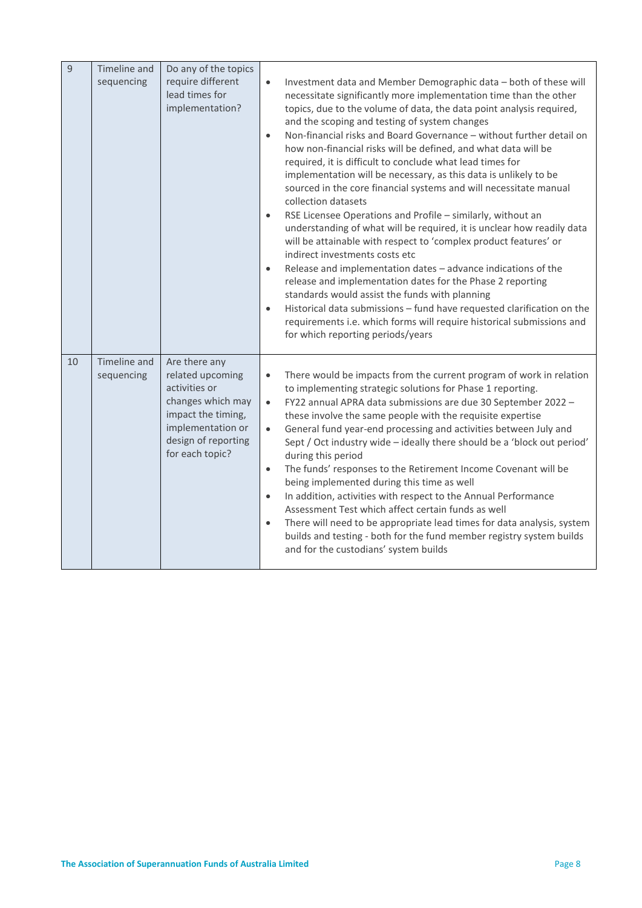| $\overline{9}$ | Timeline and<br>sequencing | Do any of the topics<br>require different<br>lead times for<br>implementation?                                                                               | Investment data and Member Demographic data - both of these will<br>$\bullet$<br>necessitate significantly more implementation time than the other<br>topics, due to the volume of data, the data point analysis required,<br>and the scoping and testing of system changes<br>Non-financial risks and Board Governance - without further detail on<br>$\bullet$<br>how non-financial risks will be defined, and what data will be<br>required, it is difficult to conclude what lead times for<br>implementation will be necessary, as this data is unlikely to be<br>sourced in the core financial systems and will necessitate manual<br>collection datasets<br>RSE Licensee Operations and Profile - similarly, without an<br>$\bullet$<br>understanding of what will be required, it is unclear how readily data<br>will be attainable with respect to 'complex product features' or<br>indirect investments costs etc<br>Release and implementation dates - advance indications of the<br>$\bullet$<br>release and implementation dates for the Phase 2 reporting<br>standards would assist the funds with planning<br>Historical data submissions - fund have requested clarification on the<br>$\bullet$ |
|----------------|----------------------------|--------------------------------------------------------------------------------------------------------------------------------------------------------------|------------------------------------------------------------------------------------------------------------------------------------------------------------------------------------------------------------------------------------------------------------------------------------------------------------------------------------------------------------------------------------------------------------------------------------------------------------------------------------------------------------------------------------------------------------------------------------------------------------------------------------------------------------------------------------------------------------------------------------------------------------------------------------------------------------------------------------------------------------------------------------------------------------------------------------------------------------------------------------------------------------------------------------------------------------------------------------------------------------------------------------------------------------------------------------------------------------------|
| 10             | Timeline and<br>sequencing | Are there any<br>related upcoming<br>activities or<br>changes which may<br>impact the timing,<br>implementation or<br>design of reporting<br>for each topic? | requirements i.e. which forms will require historical submissions and<br>for which reporting periods/years<br>There would be impacts from the current program of work in relation<br>$\bullet$<br>to implementing strategic solutions for Phase 1 reporting.<br>FY22 annual APRA data submissions are due 30 September 2022 -<br>$\bullet$<br>these involve the same people with the requisite expertise<br>General fund year-end processing and activities between July and<br>$\bullet$<br>Sept / Oct industry wide - ideally there should be a 'block out period'<br>during this period<br>The funds' responses to the Retirement Income Covenant will be<br>$\bullet$<br>being implemented during this time as well<br>In addition, activities with respect to the Annual Performance<br>$\bullet$<br>Assessment Test which affect certain funds as well<br>There will need to be appropriate lead times for data analysis, system<br>$\bullet$<br>builds and testing - both for the fund member registry system builds<br>and for the custodians' system builds                                                                                                                                             |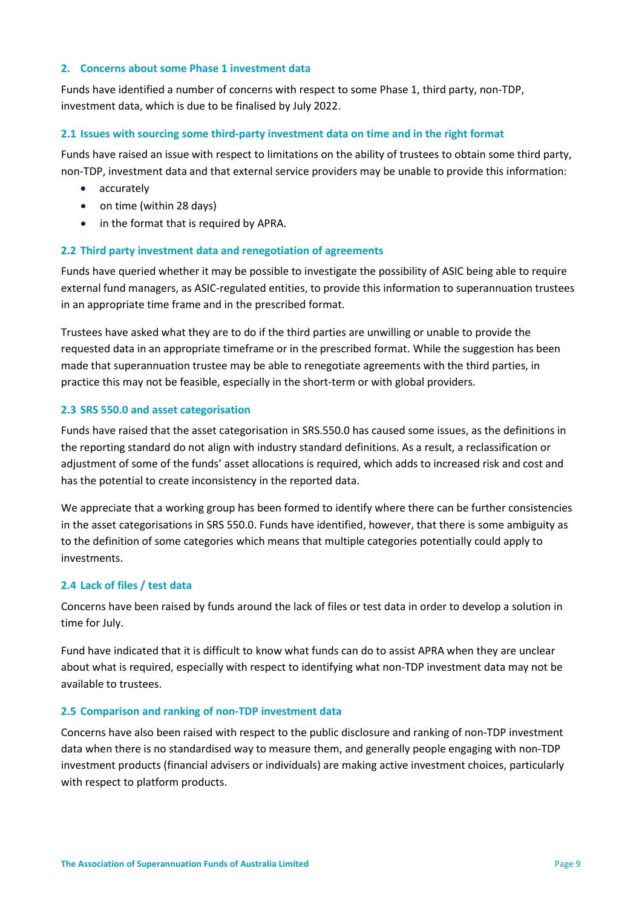#### <span id="page-9-0"></span>**2. Concerns about some Phase 1 investment data**

Funds have identified a number of concerns with respect to some Phase 1, third party, non-TDP, investment data, which is due to be finalised by July 2022.

#### <span id="page-9-1"></span>**2.1 Issues with sourcing some third-party investment data on time and in the right format**

Funds have raised an issue with respect to limitations on the ability of trustees to obtain some third party, non-TDP, investment data and that external service providers may be unable to provide this information:

- accurately
- on time (within 28 days)
- in the format that is required by APRA.

#### <span id="page-9-2"></span>**2.2 Third party investment data and renegotiation of agreements**

Funds have queried whether it may be possible to investigate the possibility of ASIC being able to require external fund managers, as ASIC-regulated entities, to provide this information to superannuation trustees in an appropriate time frame and in the prescribed format.

Trustees have asked what they are to do if the third parties are unwilling or unable to provide the requested data in an appropriate timeframe or in the prescribed format. While the suggestion has been made that superannuation trustee may be able to renegotiate agreements with the third parties, in practice this may not be feasible, especially in the short-term or with global providers.

#### <span id="page-9-3"></span>**2.3 SRS 550.0 and asset categorisation**

Funds have raised that the asset categorisation in SRS.550.0 has caused some issues, as the definitions in the reporting standard do not align with industry standard definitions. As a result, a reclassification or adjustment of some of the funds' asset allocations is required, which adds to increased risk and cost and has the potential to create inconsistency in the reported data.

We appreciate that a working group has been formed to identify where there can be further consistencies in the asset categorisations in SRS 550.0. Funds have identified, however, that there is some ambiguity as to the definition of some categories which means that multiple categories potentially could apply to investments.

#### <span id="page-9-4"></span>**2.4 Lack of files / test data**

Concerns have been raised by funds around the lack of files or test data in order to develop a solution in time for July.

Fund have indicated that it is difficult to know what funds can do to assist APRA when they are unclear about what is required, especially with respect to identifying what non-TDP investment data may not be available to trustees.

#### <span id="page-9-5"></span>**2.5 Comparison and ranking of non-TDP investment data**

Concerns have also been raised with respect to the public disclosure and ranking of non-TDP investment data when there is no standardised way to measure them, and generally people engaging with non-TDP investment products (financial advisers or individuals) are making active investment choices, particularly with respect to platform products.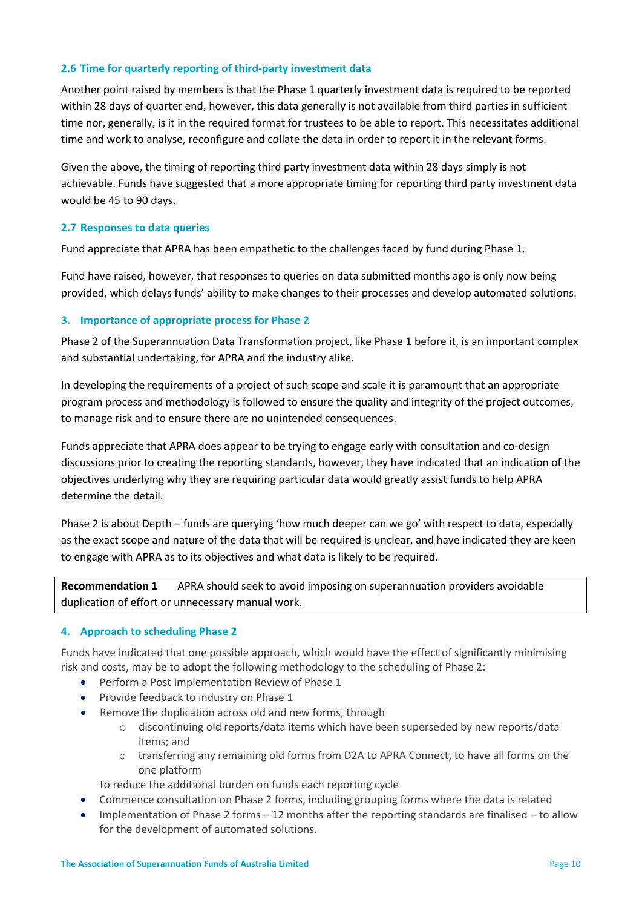## <span id="page-10-0"></span>**2.6 Time for quarterly reporting of third-party investment data**

Another point raised by members is that the Phase 1 quarterly investment data is required to be reported within 28 days of quarter end, however, this data generally is not available from third parties in sufficient time nor, generally, is it in the required format for trustees to be able to report. This necessitates additional time and work to analyse, reconfigure and collate the data in order to report it in the relevant forms.

Given the above, the timing of reporting third party investment data within 28 days simply is not achievable. Funds have suggested that a more appropriate timing for reporting third party investment data would be 45 to 90 days.

### <span id="page-10-1"></span>**2.7 Responses to data queries**

Fund appreciate that APRA has been empathetic to the challenges faced by fund during Phase 1.

Fund have raised, however, that responses to queries on data submitted months ago is only now being provided, which delays funds' ability to make changes to their processes and develop automated solutions.

## <span id="page-10-2"></span>**3. Importance of appropriate process for Phase 2**

Phase 2 of the Superannuation Data Transformation project, like Phase 1 before it, is an important complex and substantial undertaking, for APRA and the industry alike.

In developing the requirements of a project of such scope and scale it is paramount that an appropriate program process and methodology is followed to ensure the quality and integrity of the project outcomes, to manage risk and to ensure there are no unintended consequences.

Funds appreciate that APRA does appear to be trying to engage early with consultation and co-design discussions prior to creating the reporting standards, however, they have indicated that an indication of the objectives underlying why they are requiring particular data would greatly assist funds to help APRA determine the detail.

Phase 2 is about Depth – funds are querying 'how much deeper can we go' with respect to data, especially as the exact scope and nature of the data that will be required is unclear, and have indicated they are keen to engage with APRA as to its objectives and what data is likely to be required.

**Recommendation 1** APRA should seek to avoid imposing on superannuation providers avoidable duplication of effort or unnecessary manual work.

# <span id="page-10-3"></span>**4. Approach to scheduling Phase 2**

Funds have indicated that one possible approach, which would have the effect of significantly minimising risk and costs, may be to adopt the following methodology to the scheduling of Phase 2:

- Perform a Post Implementation Review of Phase 1
- Provide feedback to industry on Phase 1
- Remove the duplication across old and new forms, through
	- o discontinuing old reports/data items which have been superseded by new reports/data items; and
	- o transferring any remaining old forms from D2A to APRA Connect, to have all forms on the one platform

to reduce the additional burden on funds each reporting cycle

- Commence consultation on Phase 2 forms, including grouping forms where the data is related
- Implementation of Phase 2 forms 12 months after the reporting standards are finalised to allow for the development of automated solutions.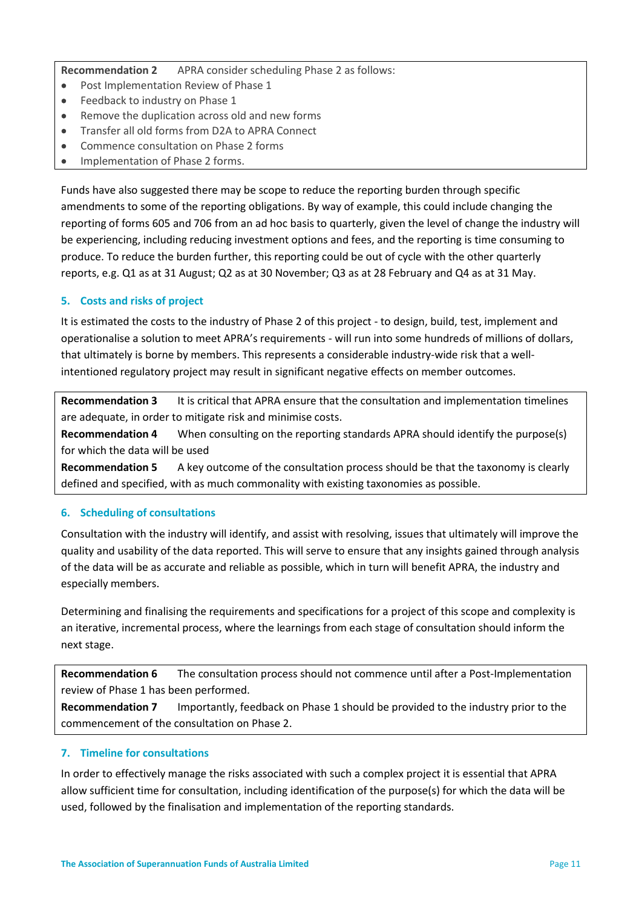**Recommendation 2** APRA consider scheduling Phase 2 as follows:

- Post Implementation Review of Phase 1
- Feedback to industry on Phase 1
- Remove the duplication across old and new forms
- Transfer all old forms from D2A to APRA Connect
- Commence consultation on Phase 2 forms
- Implementation of Phase 2 forms.

Funds have also suggested there may be scope to reduce the reporting burden through specific amendments to some of the reporting obligations. By way of example, this could include changing the reporting of forms 605 and 706 from an ad hoc basis to quarterly, given the level of change the industry will be experiencing, including reducing investment options and fees, and the reporting is time consuming to produce. To reduce the burden further, this reporting could be out of cycle with the other quarterly reports, e.g. Q1 as at 31 August; Q2 as at 30 November; Q3 as at 28 February and Q4 as at 31 May.

# <span id="page-11-0"></span>**5. Costs and risks of project**

It is estimated the costs to the industry of Phase 2 of this project - to design, build, test, implement and operationalise a solution to meet APRA's requirements - will run into some hundreds of millions of dollars, that ultimately is borne by members. This represents a considerable industry-wide risk that a wellintentioned regulatory project may result in significant negative effects on member outcomes.

**Recommendation 3** It is critical that APRA ensure that the consultation and implementation timelines are adequate, in order to mitigate risk and minimise costs.

**Recommendation 4** When consulting on the reporting standards APRA should identify the purpose(s) for which the data will be used

**Recommendation 5** A key outcome of the consultation process should be that the taxonomy is clearly defined and specified, with as much commonality with existing taxonomies as possible.

# <span id="page-11-1"></span>**6. Scheduling of consultations**

Consultation with the industry will identify, and assist with resolving, issues that ultimately will improve the quality and usability of the data reported. This will serve to ensure that any insights gained through analysis of the data will be as accurate and reliable as possible, which in turn will benefit APRA, the industry and especially members.

Determining and finalising the requirements and specifications for a project of this scope and complexity is an iterative, incremental process, where the learnings from each stage of consultation should inform the next stage.

**Recommendation 6** The consultation process should not commence until after a Post-Implementation review of Phase 1 has been performed.

**Recommendation 7** Importantly, feedback on Phase 1 should be provided to the industry prior to the commencement of the consultation on Phase 2.

# <span id="page-11-2"></span>**7. Timeline for consultations**

In order to effectively manage the risks associated with such a complex project it is essential that APRA allow sufficient time for consultation, including identification of the purpose(s) for which the data will be used, followed by the finalisation and implementation of the reporting standards.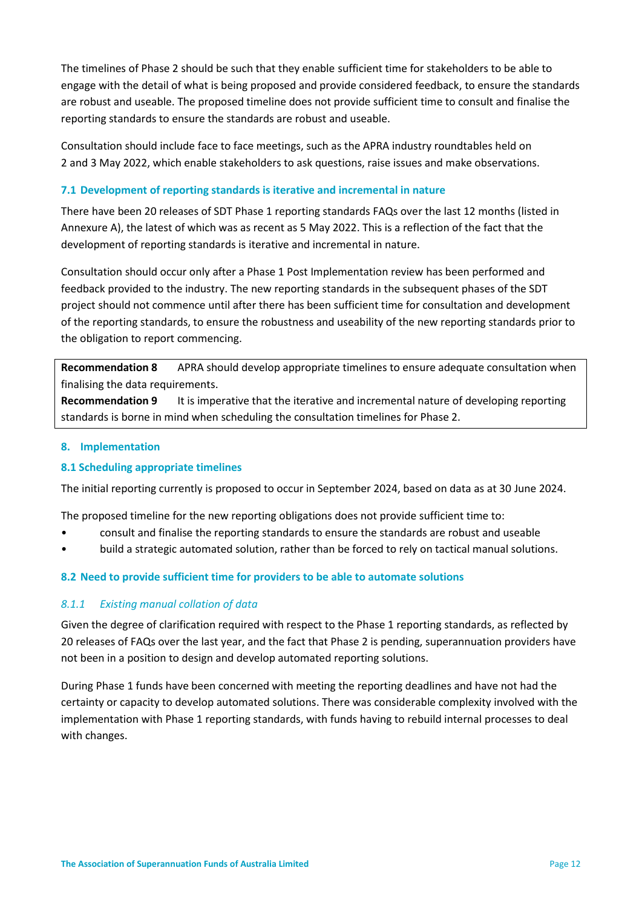The timelines of Phase 2 should be such that they enable sufficient time for stakeholders to be able to engage with the detail of what is being proposed and provide considered feedback, to ensure the standards are robust and useable. The proposed timeline does not provide sufficient time to consult and finalise the reporting standards to ensure the standards are robust and useable.

Consultation should include face to face meetings, such as the APRA industry roundtables held on 2 and 3 May 2022, which enable stakeholders to ask questions, raise issues and make observations.

## <span id="page-12-0"></span>**7.1 Development of reporting standards is iterative and incremental in nature**

There have been 20 releases of SDT Phase 1 reporting standards FAQs over the last 12 months (listed in Annexure A), the latest of which was as recent as 5 May 2022. This is a reflection of the fact that the development of reporting standards is iterative and incremental in nature.

Consultation should occur only after a Phase 1 Post Implementation review has been performed and feedback provided to the industry. The new reporting standards in the subsequent phases of the SDT project should not commence until after there has been sufficient time for consultation and development of the reporting standards, to ensure the robustness and useability of the new reporting standards prior to the obligation to report commencing.

**Recommendation 8** APRA should develop appropriate timelines to ensure adequate consultation when finalising the data requirements.

**Recommendation 9** It is imperative that the iterative and incremental nature of developing reporting standards is borne in mind when scheduling the consultation timelines for Phase 2.

## <span id="page-12-1"></span>**8. Implementation**

# <span id="page-12-2"></span>**8.1 Scheduling appropriate timelines**

The initial reporting currently is proposed to occur in September 2024, based on data as at 30 June 2024.

The proposed timeline for the new reporting obligations does not provide sufficient time to:

- consult and finalise the reporting standards to ensure the standards are robust and useable
- build a strategic automated solution, rather than be forced to rely on tactical manual solutions.

# <span id="page-12-3"></span>**8.2 Need to provide sufficient time for providers to be able to automate solutions**

#### *8.1.1 Existing manual collation of data*

Given the degree of clarification required with respect to the Phase 1 reporting standards, as reflected by 20 releases of FAQs over the last year, and the fact that Phase 2 is pending, superannuation providers have not been in a position to design and develop automated reporting solutions.

During Phase 1 funds have been concerned with meeting the reporting deadlines and have not had the certainty or capacity to develop automated solutions. There was considerable complexity involved with the implementation with Phase 1 reporting standards, with funds having to rebuild internal processes to deal with changes.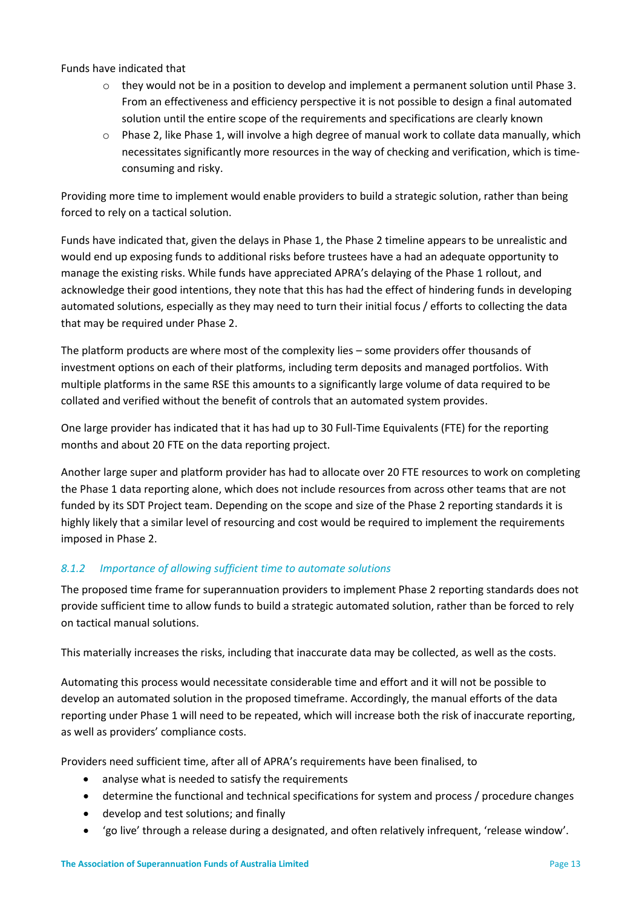Funds have indicated that

- $\circ$  they would not be in a position to develop and implement a permanent solution until Phase 3. From an effectiveness and efficiency perspective it is not possible to design a final automated solution until the entire scope of the requirements and specifications are clearly known
- o Phase 2, like Phase 1, will involve a high degree of manual work to collate data manually, which necessitates significantly more resources in the way of checking and verification, which is timeconsuming and risky.

Providing more time to implement would enable providers to build a strategic solution, rather than being forced to rely on a tactical solution.

Funds have indicated that, given the delays in Phase 1, the Phase 2 timeline appears to be unrealistic and would end up exposing funds to additional risks before trustees have a had an adequate opportunity to manage the existing risks. While funds have appreciated APRA's delaying of the Phase 1 rollout, and acknowledge their good intentions, they note that this has had the effect of hindering funds in developing automated solutions, especially as they may need to turn their initial focus / efforts to collecting the data that may be required under Phase 2.

The platform products are where most of the complexity lies – some providers offer thousands of investment options on each of their platforms, including term deposits and managed portfolios. With multiple platforms in the same RSE this amounts to a significantly large volume of data required to be collated and verified without the benefit of controls that an automated system provides.

One large provider has indicated that it has had up to 30 Full-Time Equivalents (FTE) for the reporting months and about 20 FTE on the data reporting project.

Another large super and platform provider has had to allocate over 20 FTE resources to work on completing the Phase 1 data reporting alone, which does not include resources from across other teams that are not funded by its SDT Project team. Depending on the scope and size of the Phase 2 reporting standards it is highly likely that a similar level of resourcing and cost would be required to implement the requirements imposed in Phase 2.

# *8.1.2 Importance of allowing sufficient time to automate solutions*

The proposed time frame for superannuation providers to implement Phase 2 reporting standards does not provide sufficient time to allow funds to build a strategic automated solution, rather than be forced to rely on tactical manual solutions.

This materially increases the risks, including that inaccurate data may be collected, as well as the costs.

Automating this process would necessitate considerable time and effort and it will not be possible to develop an automated solution in the proposed timeframe. Accordingly, the manual efforts of the data reporting under Phase 1 will need to be repeated, which will increase both the risk of inaccurate reporting, as well as providers' compliance costs.

Providers need sufficient time, after all of APRA's requirements have been finalised, to

- analyse what is needed to satisfy the requirements
- determine the functional and technical specifications for system and process / procedure changes
- develop and test solutions; and finally
- 'go live' through a release during a designated, and often relatively infrequent, 'release window'.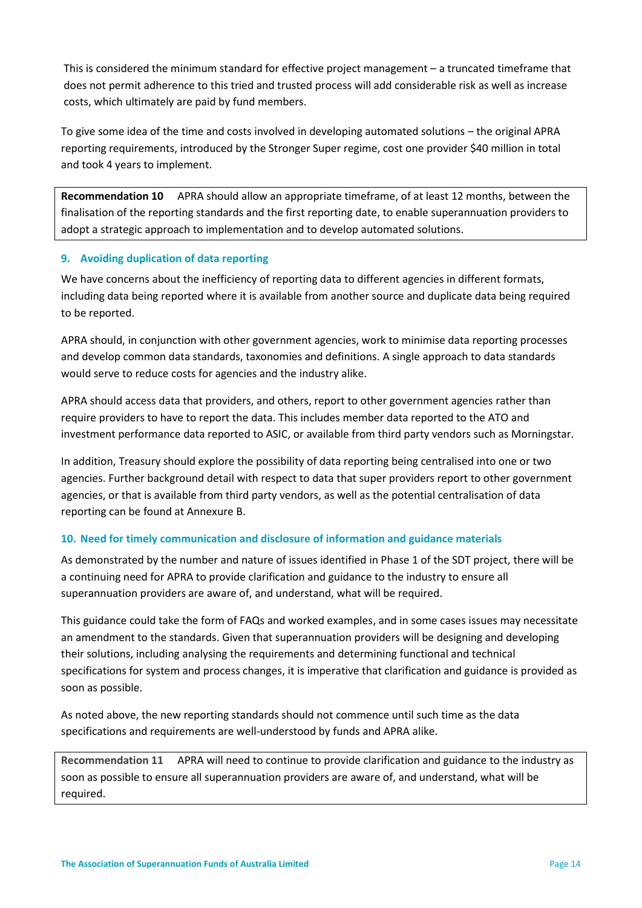This is considered the minimum standard for effective project management – a truncated timeframe that does not permit adherence to this tried and trusted process will add considerable risk as well as increase costs, which ultimately are paid by fund members.

To give some idea of the time and costs involved in developing automated solutions – the original APRA reporting requirements, introduced by the Stronger Super regime, cost one provider \$40 million in total and took 4 years to implement.

**Recommendation 10** APRA should allow an appropriate timeframe, of at least 12 months, between the finalisation of the reporting standards and the first reporting date, to enable superannuation providers to adopt a strategic approach to implementation and to develop automated solutions.

# <span id="page-14-0"></span>**9. Avoiding duplication of data reporting**

We have concerns about the inefficiency of reporting data to different agencies in different formats, including data being reported where it is available from another source and duplicate data being required to be reported.

APRA should, in conjunction with other government agencies, work to minimise data reporting processes and develop common data standards, taxonomies and definitions. A single approach to data standards would serve to reduce costs for agencies and the industry alike.

APRA should access data that providers, and others, report to other government agencies rather than require providers to have to report the data. This includes member data reported to the ATO and investment performance data reported to ASIC, or available from third party vendors such as Morningstar.

In addition, Treasury should explore the possibility of data reporting being centralised into one or two agencies. Further background detail with respect to data that super providers report to other government agencies, or that is available from third party vendors, as well as the potential centralisation of data reporting can be found at Annexure B.

# <span id="page-14-1"></span>**10. Need for timely communication and disclosure of information and guidance materials**

As demonstrated by the number and nature of issues identified in Phase 1 of the SDT project, there will be a continuing need for APRA to provide clarification and guidance to the industry to ensure all superannuation providers are aware of, and understand, what will be required.

This guidance could take the form of FAQs and worked examples, and in some cases issues may necessitate an amendment to the standards. Given that superannuation providers will be designing and developing their solutions, including analysing the requirements and determining functional and technical specifications for system and process changes, it is imperative that clarification and guidance is provided as soon as possible.

As noted above, the new reporting standards should not commence until such time as the data specifications and requirements are well-understood by funds and APRA alike.

**Recommendation 11** APRA will need to continue to provide clarification and guidance to the industry as soon as possible to ensure all superannuation providers are aware of, and understand, what will be required.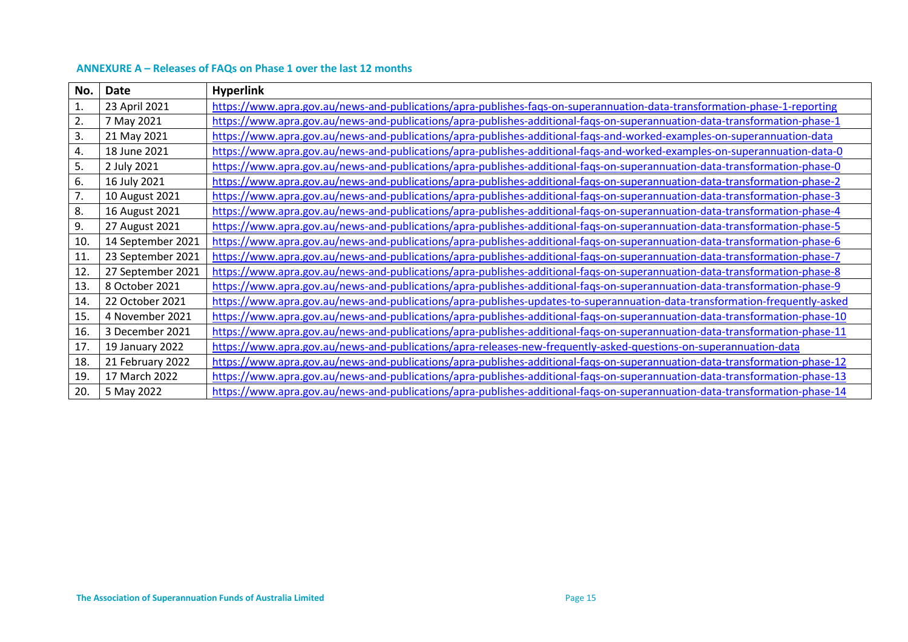<span id="page-15-0"></span>

| No. | Date              | <b>Hyperlink</b>                                                                                                            |
|-----|-------------------|-----------------------------------------------------------------------------------------------------------------------------|
| 1.  | 23 April 2021     | https://www.apra.gov.au/news-and-publications/apra-publishes-faqs-on-superannuation-data-transformation-phase-1-reporting   |
| 2.  | 7 May 2021        | https://www.apra.gov.au/news-and-publications/apra-publishes-additional-faqs-on-superannuation-data-transformation-phase-1  |
| 3.  | 21 May 2021       | https://www.apra.gov.au/news-and-publications/apra-publishes-additional-fags-and-worked-examples-on-superannuation-data     |
| 4.  | 18 June 2021      | https://www.apra.gov.au/news-and-publications/apra-publishes-additional-fags-and-worked-examples-on-superannuation-data-0   |
| 5.  | 2 July 2021       | https://www.apra.gov.au/news-and-publications/apra-publishes-additional-faqs-on-superannuation-data-transformation-phase-0  |
| 6.  | 16 July 2021      | https://www.apra.gov.au/news-and-publications/apra-publishes-additional-faqs-on-superannuation-data-transformation-phase-2  |
| 7.  | 10 August 2021    | https://www.apra.gov.au/news-and-publications/apra-publishes-additional-fags-on-superannuation-data-transformation-phase-3  |
| 8.  | 16 August 2021    | https://www.apra.gov.au/news-and-publications/apra-publishes-additional-fags-on-superannuation-data-transformation-phase-4  |
| 9.  | 27 August 2021    | https://www.apra.gov.au/news-and-publications/apra-publishes-additional-fags-on-superannuation-data-transformation-phase-5  |
| 10. | 14 September 2021 | https://www.apra.gov.au/news-and-publications/apra-publishes-additional-faqs-on-superannuation-data-transformation-phase-6  |
| 11. | 23 September 2021 | https://www.apra.gov.au/news-and-publications/apra-publishes-additional-fags-on-superannuation-data-transformation-phase-7  |
| 12. | 27 September 2021 | https://www.apra.gov.au/news-and-publications/apra-publishes-additional-faqs-on-superannuation-data-transformation-phase-8  |
| 13. | 8 October 2021    | https://www.apra.gov.au/news-and-publications/apra-publishes-additional-faqs-on-superannuation-data-transformation-phase-9  |
| 14. | 22 October 2021   | https://www.apra.gov.au/news-and-publications/apra-publishes-updates-to-superannuation-data-transformation-frequently-asked |
| 15. | 4 November 2021   | https://www.apra.gov.au/news-and-publications/apra-publishes-additional-faqs-on-superannuation-data-transformation-phase-10 |
| 16. | 3 December 2021   | https://www.apra.gov.au/news-and-publications/apra-publishes-additional-faqs-on-superannuation-data-transformation-phase-11 |
| 17. | 19 January 2022   | https://www.apra.gov.au/news-and-publications/apra-releases-new-frequently-asked-questions-on-superannuation-data           |
| 18. | 21 February 2022  | https://www.apra.gov.au/news-and-publications/apra-publishes-additional-faqs-on-superannuation-data-transformation-phase-12 |
| 19. | 17 March 2022     | https://www.apra.gov.au/news-and-publications/apra-publishes-additional-faqs-on-superannuation-data-transformation-phase-13 |
| 20. | 5 May 2022        | https://www.apra.gov.au/news-and-publications/apra-publishes-additional-faqs-on-superannuation-data-transformation-phase-14 |

# **ANNEXURE A – Releases of FAQs on Phase 1 over the last 12 months**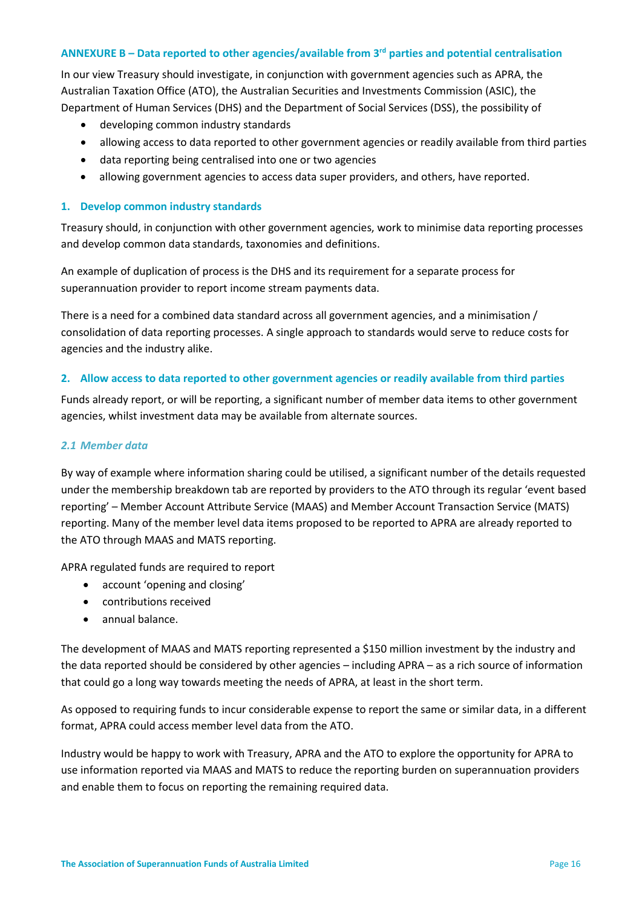#### <span id="page-16-0"></span>**ANNEXURE B – Data reported to other agencies/available from 3 rd parties and potential centralisation**

In our view Treasury should investigate, in conjunction with government agencies such as APRA, the Australian Taxation Office (ATO), the Australian Securities and Investments Commission (ASIC), the Department of Human Services (DHS) and the Department of Social Services (DSS), the possibility of

- developing common industry standards
- allowing access to data reported to other government agencies or readily available from third parties
- data reporting being centralised into one or two agencies
- allowing government agencies to access data super providers, and others, have reported.

#### **1. Develop common industry standards**

Treasury should, in conjunction with other government agencies, work to minimise data reporting processes and develop common data standards, taxonomies and definitions.

An example of duplication of process is the DHS and its requirement for a separate process for superannuation provider to report income stream payments data.

There is a need for a combined data standard across all government agencies, and a minimisation / consolidation of data reporting processes. A single approach to standards would serve to reduce costs for agencies and the industry alike.

#### **2. Allow access to data reported to other government agencies or readily available from third parties**

Funds already report, or will be reporting, a significant number of member data items to other government agencies, whilst investment data may be available from alternate sources.

## *2.1 Member data*

By way of example where information sharing could be utilised, a significant number of the details requested under the membership breakdown tab are reported by providers to the ATO through its regular 'event based reporting' – Member Account Attribute Service (MAAS) and Member Account Transaction Service (MATS) reporting. Many of the member level data items proposed to be reported to APRA are already reported to the ATO through MAAS and MATS reporting.

APRA regulated funds are required to report

- account 'opening and closing'
- contributions received
- annual balance.

The development of MAAS and MATS reporting represented a \$150 million investment by the industry and the data reported should be considered by other agencies – including APRA – as a rich source of information that could go a long way towards meeting the needs of APRA, at least in the short term.

As opposed to requiring funds to incur considerable expense to report the same or similar data, in a different format, APRA could access member level data from the ATO.

Industry would be happy to work with Treasury, APRA and the ATO to explore the opportunity for APRA to use information reported via MAAS and MATS to reduce the reporting burden on superannuation providers and enable them to focus on reporting the remaining required data.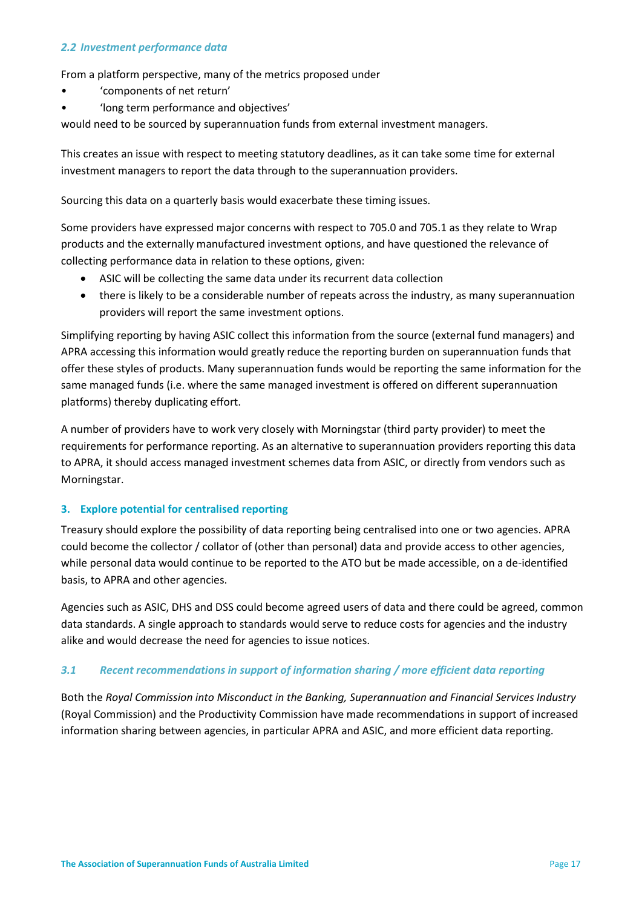From a platform perspective, many of the metrics proposed under

- 'components of net return'
- 'long term performance and objectives'

would need to be sourced by superannuation funds from external investment managers.

This creates an issue with respect to meeting statutory deadlines, as it can take some time for external investment managers to report the data through to the superannuation providers.

Sourcing this data on a quarterly basis would exacerbate these timing issues.

Some providers have expressed major concerns with respect to 705.0 and 705.1 as they relate to Wrap products and the externally manufactured investment options, and have questioned the relevance of collecting performance data in relation to these options, given:

- ASIC will be collecting the same data under its recurrent data collection
- there is likely to be a considerable number of repeats across the industry, as many superannuation providers will report the same investment options.

Simplifying reporting by having ASIC collect this information from the source (external fund managers) and APRA accessing this information would greatly reduce the reporting burden on superannuation funds that offer these styles of products. Many superannuation funds would be reporting the same information for the same managed funds (i.e. where the same managed investment is offered on different superannuation platforms) thereby duplicating effort.

A number of providers have to work very closely with Morningstar (third party provider) to meet the requirements for performance reporting. As an alternative to superannuation providers reporting this data to APRA, it should access managed investment schemes data from ASIC, or directly from vendors such as Morningstar.

# **3. Explore potential for centralised reporting**

Treasury should explore the possibility of data reporting being centralised into one or two agencies. APRA could become the collector / collator of (other than personal) data and provide access to other agencies, while personal data would continue to be reported to the ATO but be made accessible, on a de-identified basis, to APRA and other agencies.

Agencies such as ASIC, DHS and DSS could become agreed users of data and there could be agreed, common data standards. A single approach to standards would serve to reduce costs for agencies and the industry alike and would decrease the need for agencies to issue notices.

# *3.1 Recent recommendations in support of information sharing / more efficient data reporting*

Both the *Royal Commission into Misconduct in the Banking, Superannuation and Financial Services Industry* (Royal Commission) and the Productivity Commission have made recommendations in support of increased information sharing between agencies, in particular APRA and ASIC, and more efficient data reporting.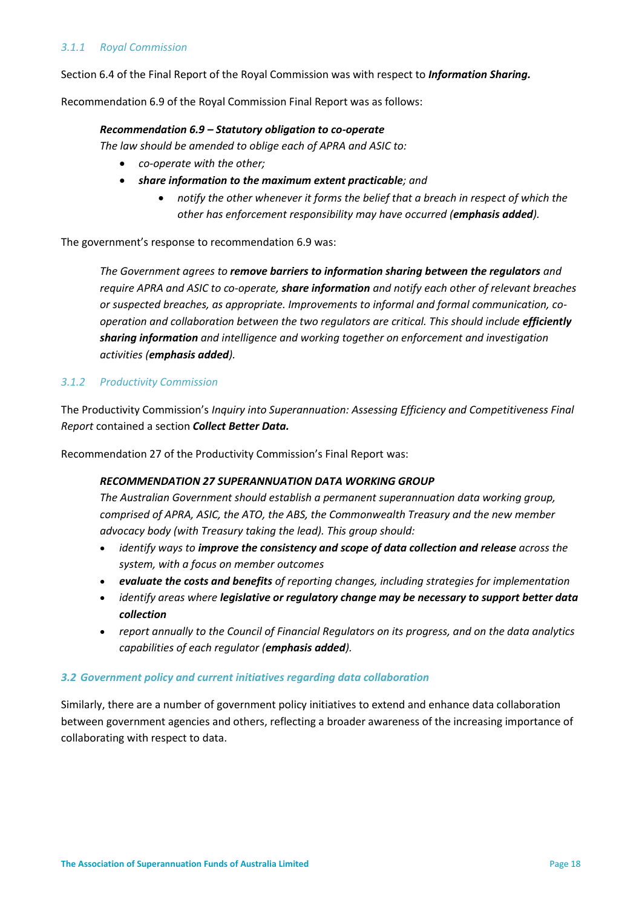Section 6.4 of the Final Report of the Royal Commission was with respect to *Information Sharing.*

Recommendation 6.9 of the Royal Commission Final Report was as follows:

#### *Recommendation 6.9 – Statutory obligation to co-operate*

*The law should be amended to oblige each of APRA and ASIC to:*

- *co-operate with the other;*
- *share information to the maximum extent practicable; and*
	- *notify the other whenever it forms the belief that a breach in respect of which the other has enforcement responsibility may have occurred (emphasis added).*

The government's response to recommendation 6.9 was:

*The Government agrees to remove barriers to information sharing between the regulators and require APRA and ASIC to co-operate, share information and notify each other of relevant breaches or suspected breaches, as appropriate. Improvements to informal and formal communication, cooperation and collaboration between the two regulators are critical. This should include efficiently sharing information and intelligence and working together on enforcement and investigation activities (emphasis added).*

# *3.1.2 Productivity Commission*

The Productivity Commission's *Inquiry into Superannuation: Assessing Efficiency and Competitiveness Final Report* contained a section *Collect Better Data.*

Recommendation 27 of the Productivity Commission's Final Report was:

#### *RECOMMENDATION 27 SUPERANNUATION DATA WORKING GROUP*

*The Australian Government should establish a permanent superannuation data working group, comprised of APRA, ASIC, the ATO, the ABS, the Commonwealth Treasury and the new member advocacy body (with Treasury taking the lead). This group should:*

- *identify ways to improve the consistency and scope of data collection and release across the system, with a focus on member outcomes*
- *evaluate the costs and benefits of reporting changes, including strategies for implementation*
- *identify areas where legislative or regulatory change may be necessary to support better data collection*
- *report annually to the Council of Financial Regulators on its progress, and on the data analytics capabilities of each regulator (emphasis added).*

#### *3.2 Government policy and current initiatives regarding data collaboration*

Similarly, there are a number of government policy initiatives to extend and enhance data collaboration between government agencies and others, reflecting a broader awareness of the increasing importance of collaborating with respect to data.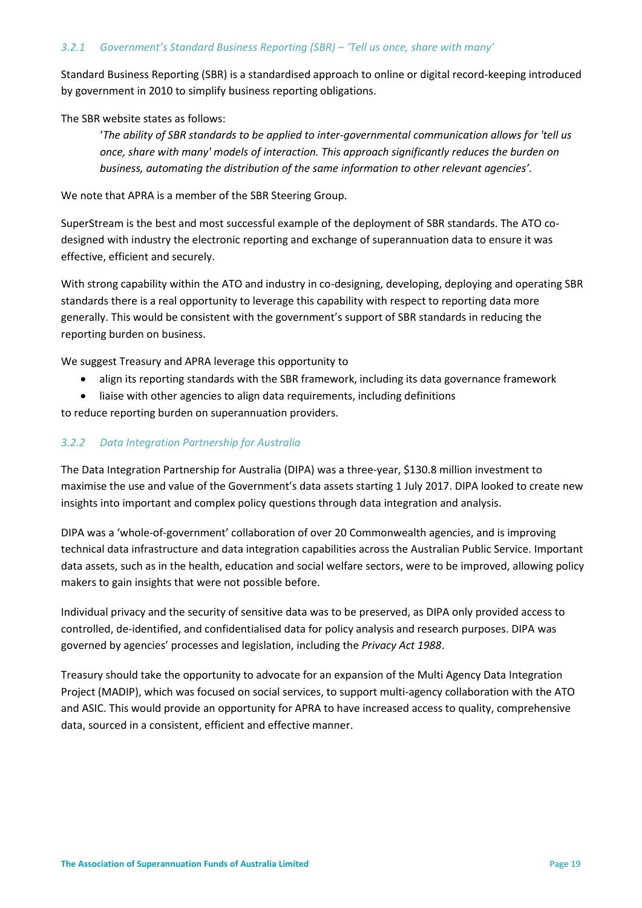Standard Business Reporting (SBR) is a standardised approach to online or digital record-keeping introduced by government in 2010 to simplify business reporting obligations.

The SBR website states as follows:

'*The ability of SBR standards to be applied to inter-governmental communication allows for 'tell us once, share with many' models of interaction. This approach significantly reduces the burden on business, automating the distribution of the same information to other relevant agencies'.*

We note that APRA is a member of the SBR Steering Group.

SuperStream is the best and most successful example of the deployment of SBR standards. The ATO codesigned with industry the electronic reporting and exchange of superannuation data to ensure it was effective, efficient and securely.

With strong capability within the ATO and industry in co-designing, developing, deploying and operating SBR standards there is a real opportunity to leverage this capability with respect to reporting data more generally. This would be consistent with the government's support of SBR standards in reducing the reporting burden on business.

We suggest Treasury and APRA leverage this opportunity to

- align its reporting standards with the SBR framework, including its data governance framework
- liaise with other agencies to align data requirements, including definitions

to reduce reporting burden on superannuation providers.

## *3.2.2 Data Integration Partnership for Australia*

The Data Integration Partnership for Australia (DIPA) was a three-year, \$130.8 million investment to maximise the use and value of the Government's data assets starting 1 July 2017. DIPA looked to create new insights into important and complex policy questions through data integration and analysis.

DIPA was a 'whole-of-government' collaboration of over 20 Commonwealth agencies, and is improving technical data infrastructure and data integration capabilities across the Australian Public Service. Important data assets, such as in the health, education and social welfare sectors, were to be improved, allowing policy makers to gain insights that were not possible before.

Individual privacy and the security of sensitive data was to be preserved, as DIPA only provided access to controlled, de-identified, and confidentialised data for policy analysis and research purposes. DIPA was governed by agencies' processes and legislation, including the *Privacy Act 1988*.

Treasury should take the opportunity to advocate for an expansion of the Multi Agency Data Integration Project (MADIP), which was focused on social services, to support multi-agency collaboration with the ATO and ASIC. This would provide an opportunity for APRA to have increased access to quality, comprehensive data, sourced in a consistent, efficient and effective manner.